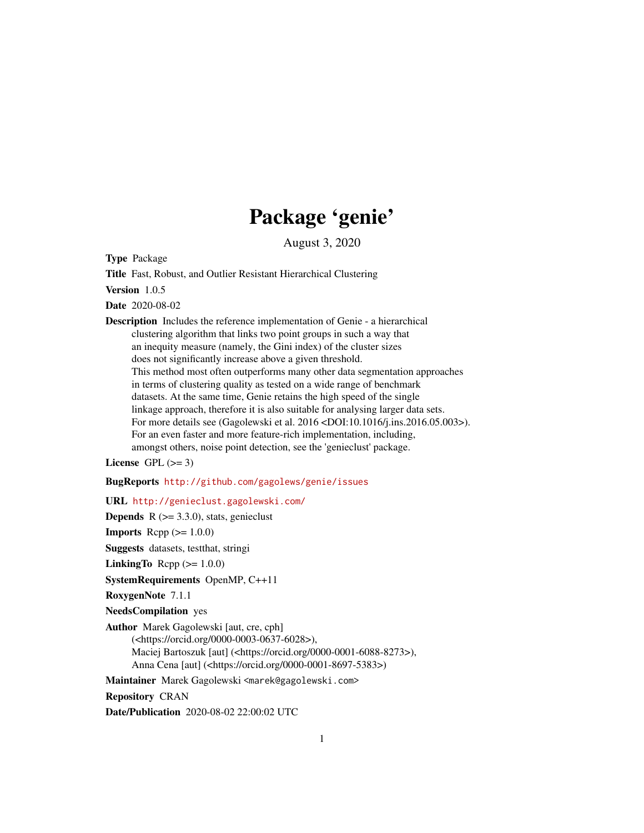## Package 'genie'

August 3, 2020

<span id="page-0-0"></span>Type Package

Title Fast, Robust, and Outlier Resistant Hierarchical Clustering

Version 1.0.5

Date 2020-08-02

Description Includes the reference implementation of Genie - a hierarchical clustering algorithm that links two point groups in such a way that an inequity measure (namely, the Gini index) of the cluster sizes does not significantly increase above a given threshold. This method most often outperforms many other data segmentation approaches in terms of clustering quality as tested on a wide range of benchmark datasets. At the same time, Genie retains the high speed of the single linkage approach, therefore it is also suitable for analysing larger data sets. For more details see (Gagolewski et al. 2016 <DOI:10.1016/j.ins.2016.05.003>). For an even faster and more feature-rich implementation, including, amongst others, noise point detection, see the 'genieclust' package.

License GPL  $(>= 3)$ 

BugReports <http://github.com/gagolews/genie/issues>

URL <http://genieclust.gagolewski.com/>

**Depends**  $R$  ( $>= 3.3.0$ ), stats, genieclust

**Imports** Rcpp  $(>= 1.0.0)$ 

Suggests datasets, testthat, stringi

LinkingTo Rcpp  $(>= 1.0.0)$ 

SystemRequirements OpenMP, C++11

RoxygenNote 7.1.1

NeedsCompilation yes

Author Marek Gagolewski [aut, cre, cph] (<https://orcid.org/0000-0003-0637-6028>), Maciej Bartoszuk [aut] (<https://orcid.org/0000-0001-6088-8273>), Anna Cena [aut] (<https://orcid.org/0000-0001-8697-5383>)

Maintainer Marek Gagolewski <marek@gagolewski.com>

Repository CRAN

Date/Publication 2020-08-02 22:00:02 UTC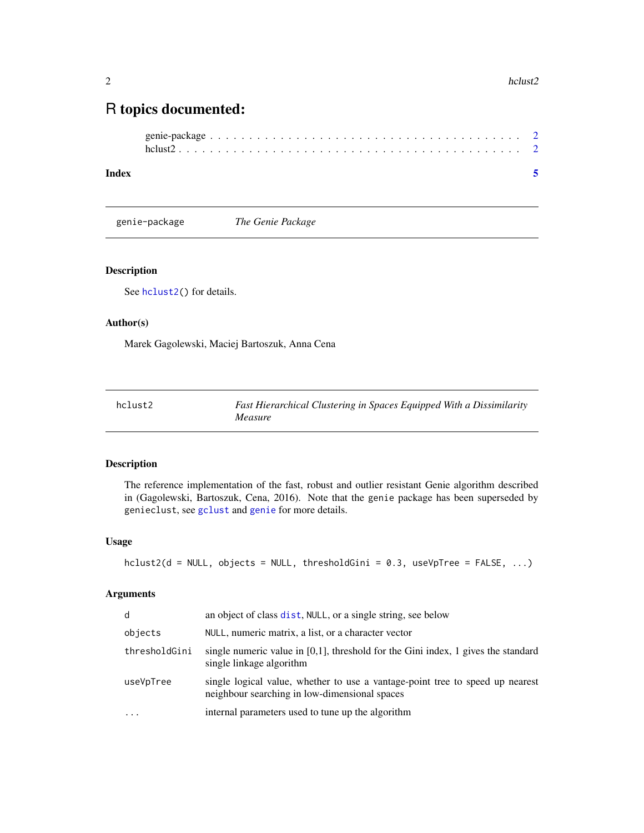### <span id="page-1-0"></span>R topics documented:

| $hclust2$ |  |  |  |  |  |  |  |  |  |  |  |  |  |  |  |  |  |  |
|-----------|--|--|--|--|--|--|--|--|--|--|--|--|--|--|--|--|--|--|

#### **Index** [5](#page-4-0). The second state of the second state of the second state of the second state of the second state of the second state of the second state of the second state of the second state of the second state of the second

genie-package *The Genie Package*

#### <span id="page-1-2"></span>Description

See [hclust2\(](#page-1-1)) for details.

#### Author(s)

Marek Gagolewski, Maciej Bartoszuk, Anna Cena

<span id="page-1-1"></span>

| hclust2 | Fast Hierarchical Clustering in Spaces Equipped With a Dissimilarity |
|---------|----------------------------------------------------------------------|
|         | <i>Measure</i>                                                       |

#### Description

The reference implementation of the fast, robust and outlier resistant Genie algorithm described in (Gagolewski, Bartoszuk, Cena, 2016). Note that the genie package has been superseded by genieclust, see [gclust](#page-0-0) and [genie](#page-1-2) for more details.

#### Usage

```
hclust2(d = NULL, objects = NULL, thresholdGini = 0.3, useVpTree = FALSE, ...)
```
#### Arguments

| d             | an object of class dist, NULL, or a single string, see below                                                                   |
|---------------|--------------------------------------------------------------------------------------------------------------------------------|
| objects       | NULL, numeric matrix, a list, or a character vector                                                                            |
| thresholdGini | single numeric value in $[0,1]$ , threshold for the Gini index, 1 gives the standard<br>single linkage algorithm               |
| useVpTree     | single logical value, whether to use a vantage-point tree to speed up nearest<br>neighbour searching in low-dimensional spaces |
|               | internal parameters used to tune up the algorithm                                                                              |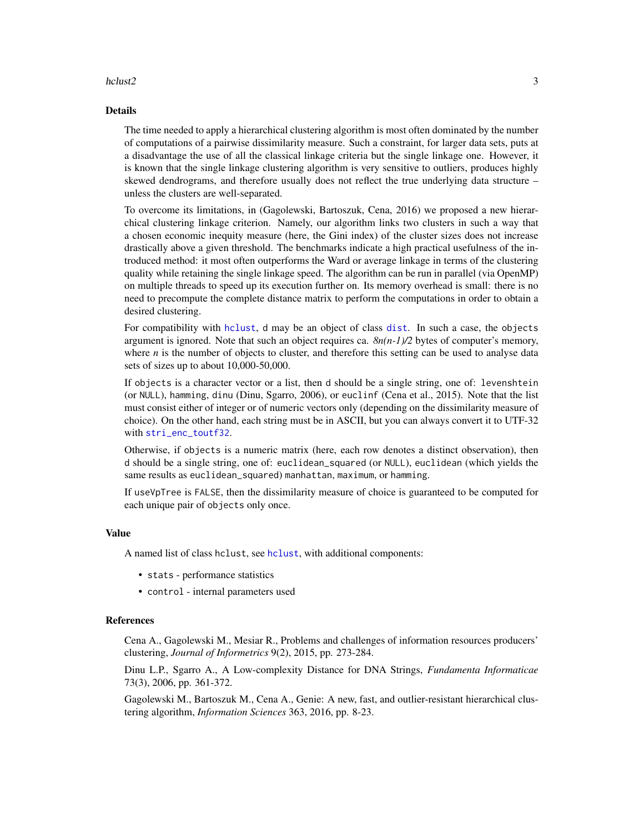#### <span id="page-2-0"></span>hclust2 3

#### Details

The time needed to apply a hierarchical clustering algorithm is most often dominated by the number of computations of a pairwise dissimilarity measure. Such a constraint, for larger data sets, puts at a disadvantage the use of all the classical linkage criteria but the single linkage one. However, it is known that the single linkage clustering algorithm is very sensitive to outliers, produces highly skewed dendrograms, and therefore usually does not reflect the true underlying data structure – unless the clusters are well-separated.

To overcome its limitations, in (Gagolewski, Bartoszuk, Cena, 2016) we proposed a new hierarchical clustering linkage criterion. Namely, our algorithm links two clusters in such a way that a chosen economic inequity measure (here, the Gini index) of the cluster sizes does not increase drastically above a given threshold. The benchmarks indicate a high practical usefulness of the introduced method: it most often outperforms the Ward or average linkage in terms of the clustering quality while retaining the single linkage speed. The algorithm can be run in parallel (via OpenMP) on multiple threads to speed up its execution further on. Its memory overhead is small: there is no need to precompute the complete distance matrix to perform the computations in order to obtain a desired clustering.

For compatibility with [hclust](#page-0-0), d may be an object of class [dist](#page-0-0). In such a case, the objects argument is ignored. Note that such an object requires ca.  $8n(n-1)/2$  bytes of computer's memory, where *n* is the number of objects to cluster, and therefore this setting can be used to analyse data sets of sizes up to about 10,000-50,000.

If objects is a character vector or a list, then d should be a single string, one of: levenshtein (or NULL), hamming, dinu (Dinu, Sgarro, 2006), or euclinf (Cena et al., 2015). Note that the list must consist either of integer or of numeric vectors only (depending on the dissimilarity measure of choice). On the other hand, each string must be in ASCII, but you can always convert it to UTF-32 with [stri\\_enc\\_toutf32](#page-0-0).

Otherwise, if objects is a numeric matrix (here, each row denotes a distinct observation), then d should be a single string, one of: euclidean\_squared (or NULL), euclidean (which yields the same results as euclidean\_squared) manhattan, maximum, or hamming.

If useVpTree is FALSE, then the dissimilarity measure of choice is guaranteed to be computed for each unique pair of objects only once.

#### Value

A named list of class hclust, see [hclust](#page-0-0), with additional components:

- stats performance statistics
- control internal parameters used

#### References

Cena A., Gagolewski M., Mesiar R., Problems and challenges of information resources producers' clustering, *Journal of Informetrics* 9(2), 2015, pp. 273-284.

Dinu L.P., Sgarro A., A Low-complexity Distance for DNA Strings, *Fundamenta Informaticae* 73(3), 2006, pp. 361-372.

Gagolewski M., Bartoszuk M., Cena A., Genie: A new, fast, and outlier-resistant hierarchical clustering algorithm, *Information Sciences* 363, 2016, pp. 8-23.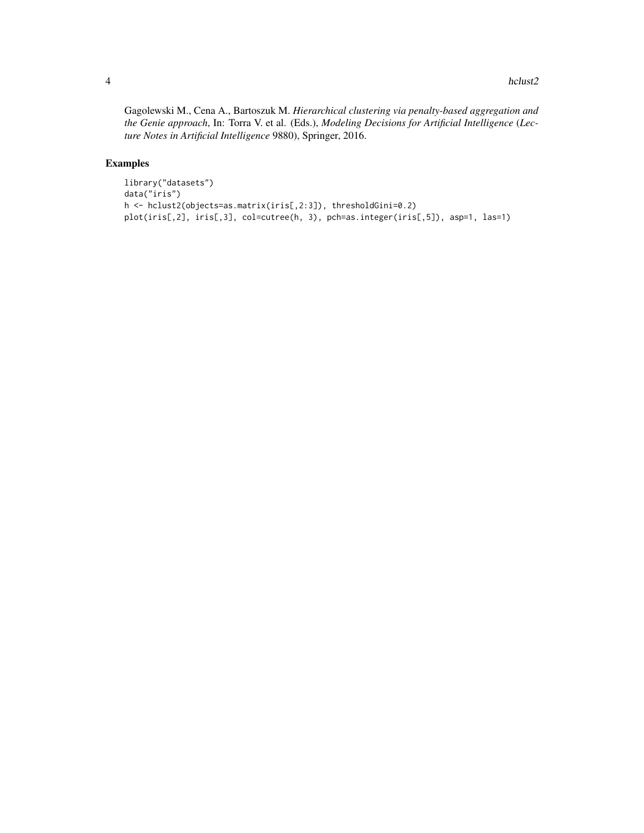Gagolewski M., Cena A., Bartoszuk M. *Hierarchical clustering via penalty-based aggregation and the Genie approach*, In: Torra V. et al. (Eds.), *Modeling Decisions for Artificial Intelligence* (*Lecture Notes in Artificial Intelligence* 9880), Springer, 2016.

#### Examples

```
library("datasets")
data("iris")
h <- hclust2(objects=as.matrix(iris[,2:3]), thresholdGini=0.2)
plot(iris[,2], iris[,3], col=cutree(h, 3), pch=as.integer(iris[,5]), asp=1, las=1)
```